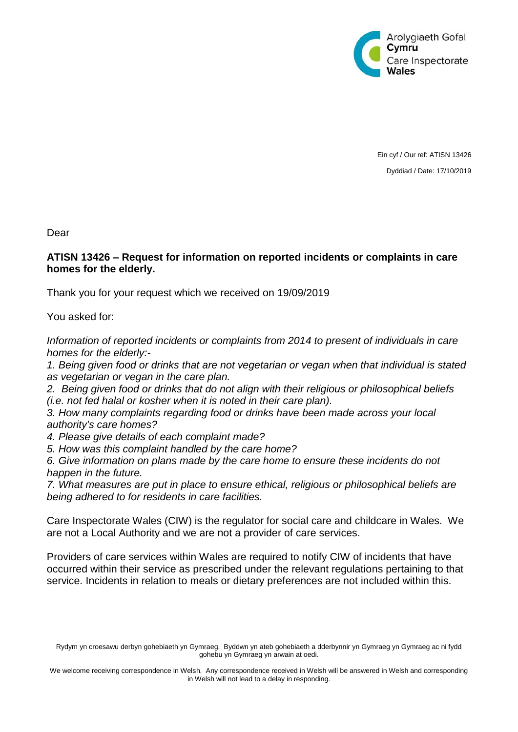

Ein cyf / Our ref: ATISN 13426 Dyddiad / Date: 17/10/2019

Dear

## **ATISN 13426 – Request for information on reported incidents or complaints in care homes for the elderly.**

Thank you for your request which we received on 19/09/2019

You asked for:

*Information of reported incidents or complaints from 2014 to present of individuals in care homes for the elderly:-*

*1. Being given food or drinks that are not vegetarian or vegan when that individual is stated as vegetarian or vegan in the care plan.*

*2. Being given food or drinks that do not align with their religious or philosophical beliefs (i.e. not fed halal or kosher when it is noted in their care plan).*

*3. How many complaints regarding food or drinks have been made across your local authority's care homes?*

*4. Please give details of each complaint made?*

*5. How was this complaint handled by the care home?*

*6. Give information on plans made by the care home to ensure these incidents do not happen in the future.*

*7. What measures are put in place to ensure ethical, religious or philosophical beliefs are being adhered to for residents in care facilities.*

Care Inspectorate Wales (CIW) is the regulator for social care and childcare in Wales. We are not a Local Authority and we are not a provider of care services.

Providers of care services within Wales are required to notify CIW of incidents that have occurred within their service as prescribed under the relevant regulations pertaining to that service. Incidents in relation to meals or dietary preferences are not included within this.

Rydym yn croesawu derbyn gohebiaeth yn Gymraeg. Byddwn yn ateb gohebiaeth a dderbynnir yn Gymraeg yn Gymraeg ac ni fydd gohebu yn Gymraeg yn arwain at oedi.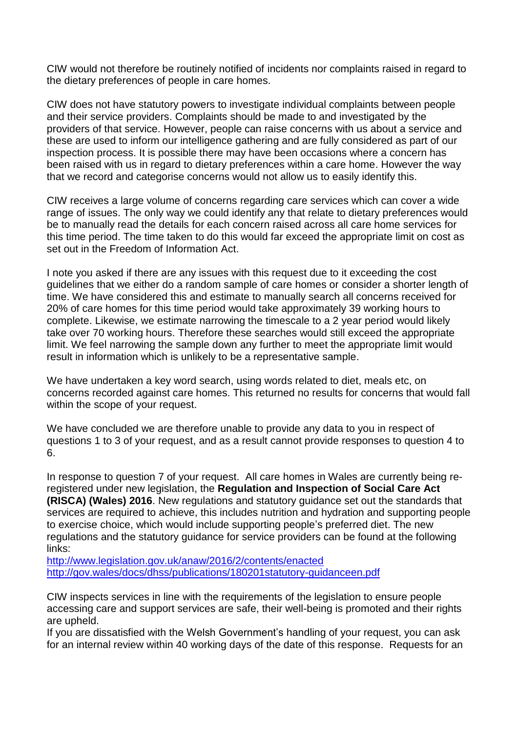CIW would not therefore be routinely notified of incidents nor complaints raised in regard to the dietary preferences of people in care homes.

CIW does not have statutory powers to investigate individual complaints between people and their service providers. Complaints should be made to and investigated by the providers of that service. However, people can raise concerns with us about a service and these are used to inform our intelligence gathering and are fully considered as part of our inspection process. It is possible there may have been occasions where a concern has been raised with us in regard to dietary preferences within a care home. However the way that we record and categorise concerns would not allow us to easily identify this.

CIW receives a large volume of concerns regarding care services which can cover a wide range of issues. The only way we could identify any that relate to dietary preferences would be to manually read the details for each concern raised across all care home services for this time period. The time taken to do this would far exceed the appropriate limit on cost as set out in the Freedom of Information Act.

I note you asked if there are any issues with this request due to it exceeding the cost guidelines that we either do a random sample of care homes or consider a shorter length of time. We have considered this and estimate to manually search all concerns received for 20% of care homes for this time period would take approximately 39 working hours to complete. Likewise, we estimate narrowing the timescale to a 2 year period would likely take over 70 working hours. Therefore these searches would still exceed the appropriate limit. We feel narrowing the sample down any further to meet the appropriate limit would result in information which is unlikely to be a representative sample.

We have undertaken a key word search, using words related to diet, meals etc, on concerns recorded against care homes. This returned no results for concerns that would fall within the scope of your request.

We have concluded we are therefore unable to provide any data to you in respect of questions 1 to 3 of your request, and as a result cannot provide responses to question 4 to 6.

In response to question 7 of your request. All care homes in Wales are currently being reregistered under new legislation, the **Regulation and Inspection of Social Care Act (RISCA) (Wales) 2016**. New regulations and statutory guidance set out the standards that services are required to achieve, this includes nutrition and hydration and supporting people to exercise choice, which would include supporting people's preferred diet. The new regulations and the statutory guidance for service providers can be found at the following links:

<http://www.legislation.gov.uk/anaw/2016/2/contents/enacted> <http://gov.wales/docs/dhss/publications/180201statutory-guidanceen.pdf>

CIW inspects services in line with the requirements of the legislation to ensure people accessing care and support services are safe, their well-being is promoted and their rights are upheld.

If you are dissatisfied with the Welsh Government's handling of your request, you can ask for an internal review within 40 working days of the date of this response. Requests for an